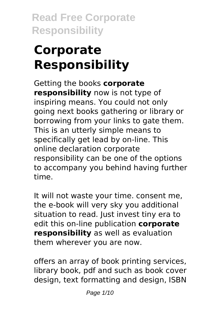# **Corporate Responsibility**

Getting the books **corporate responsibility** now is not type of inspiring means. You could not only going next books gathering or library or borrowing from your links to gate them. This is an utterly simple means to specifically get lead by on-line. This online declaration corporate responsibility can be one of the options to accompany you behind having further time.

It will not waste your time. consent me, the e-book will very sky you additional situation to read. Just invest tiny era to edit this on-line publication **corporate responsibility** as well as evaluation them wherever you are now.

offers an array of book printing services, library book, pdf and such as book cover design, text formatting and design, ISBN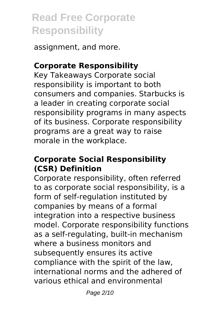assignment, and more.

# **Corporate Responsibility**

Key Takeaways Corporate social responsibility is important to both consumers and companies. Starbucks is a leader in creating corporate social responsibility programs in many aspects of its business. Corporate responsibility programs are a great way to raise morale in the workplace.

#### **Corporate Social Responsibility (CSR) Definition**

Corporate responsibility, often referred to as corporate social responsibility, is a form of self-regulation instituted by companies by means of a formal integration into a respective business model. Corporate responsibility functions as a self-regulating, built-in mechanism where a business monitors and subsequently ensures its active compliance with the spirit of the law, international norms and the adhered of various ethical and environmental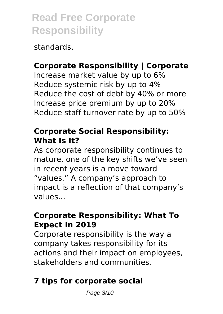standards.

# **Corporate Responsibility | Corporate**

Increase market value by up to 6% Reduce systemic risk by up to 4% Reduce the cost of debt by 40% or more Increase price premium by up to 20% Reduce staff turnover rate by up to 50%

#### **Corporate Social Responsibility: What Is It?**

As corporate responsibility continues to mature, one of the key shifts we've seen in recent years is a move toward "values." A company's approach to impact is a reflection of that company's values...

# **Corporate Responsibility: What To Expect In 2019**

Corporate responsibility is the way a company takes responsibility for its actions and their impact on employees, stakeholders and communities.

# **7 tips for corporate social**

Page 3/10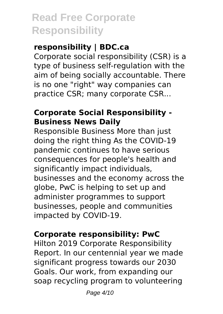# **responsibility | BDC.ca**

Corporate social responsibility (CSR) is a type of business self-regulation with the aim of being socially accountable. There is no one "right" way companies can practice CSR; many corporate CSR...

# **Corporate Social Responsibility - Business News Daily**

Responsible Business More than just doing the right thing As the COVID-19 pandemic continues to have serious consequences for people's health and significantly impact individuals, businesses and the economy across the globe, PwC is helping to set up and administer programmes to support businesses, people and communities impacted by COVID-19.

#### **Corporate responsibility: PwC**

Hilton 2019 Corporate Responsibility Report. In our centennial year we made significant progress towards our 2030 Goals. Our work, from expanding our soap recycling program to volunteering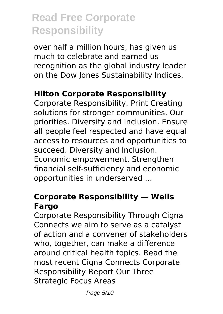over half a million hours, has given us much to celebrate and earned us recognition as the global industry leader on the Dow Jones Sustainability Indices.

#### **Hilton Corporate Responsibility**

Corporate Responsibility. Print Creating solutions for stronger communities. Our priorities. Diversity and inclusion. Ensure all people feel respected and have equal access to resources and opportunities to succeed. Diversity and Inclusion. Economic empowerment. Strengthen financial self-sufficiency and economic opportunities in underserved ...

#### **Corporate Responsibility — Wells Fargo**

Corporate Responsibility Through Cigna Connects we aim to serve as a catalyst of action and a convener of stakeholders who, together, can make a difference around critical health topics. Read the most recent Cigna Connects Corporate Responsibility Report Our Three Strategic Focus Areas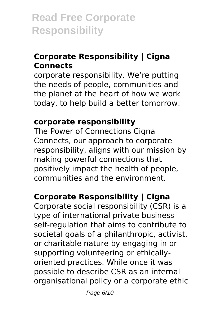# **Corporate Responsibility | Cigna Connects**

corporate responsibility. We're putting the needs of people, communities and the planet at the heart of how we work today, to help build a better tomorrow.

# **corporate responsibility**

The Power of Connections Cigna Connects, our approach to corporate responsibility, aligns with our mission by making powerful connections that positively impact the health of people, communities and the environment.

# **Corporate Responsibility | Cigna**

Corporate social responsibility (CSR) is a type of international private business self-regulation that aims to contribute to societal goals of a philanthropic, activist, or charitable nature by engaging in or supporting volunteering or ethicallyoriented practices. While once it was possible to describe CSR as an internal organisational policy or a corporate ethic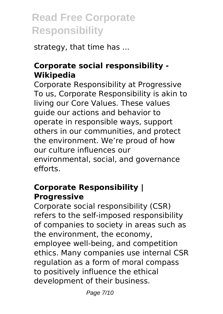strategy, that time has ...

# **Corporate social responsibility - Wikipedia**

Corporate Responsibility at Progressive To us, Corporate Responsibility is akin to living our Core Values. These values guide our actions and behavior to operate in responsible ways, support others in our communities, and protect the environment. We're proud of how our culture influences our environmental, social, and governance efforts.

# **Corporate Responsibility | Progressive**

Corporate social responsibility (CSR) refers to the self-imposed responsibility of companies to society in areas such as the environment, the economy, employee well-being, and competition ethics. Many companies use internal CSR regulation as a form of moral compass to positively influence the ethical development of their business.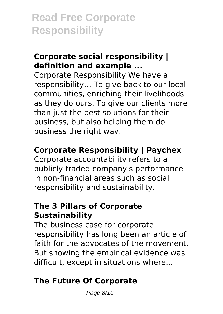# **Corporate social responsibility | definition and example ...**

Corporate Responsibility We have a responsibility… To give back to our local communities, enriching their livelihoods as they do ours. To give our clients more than just the best solutions for their business, but also helping them do business the right way.

# **Corporate Responsibility | Paychex**

Corporate accountability refers to a publicly traded company's performance in non-financial areas such as social responsibility and sustainability.

# **The 3 Pillars of Corporate Sustainability**

The business case for corporate responsibility has long been an article of faith for the advocates of the movement. But showing the empirical evidence was difficult, except in situations where...

# **The Future Of Corporate**

Page 8/10